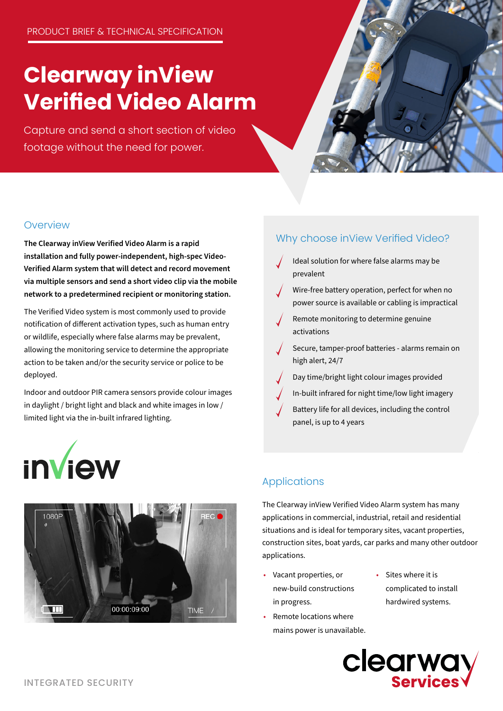# **Clearway inView Verified Video Alarm**

Capture and send a short section of video footage without the need for power.



## **Overview**

**The Clearway inView Verified Video Alarm is a rapid installation and fully power-independent, high-spec Video-Verified Alarm system that will detect and record movement via multiple sensors and send a short video clip via the mobile network to a predetermined recipient or monitoring station.**

The Verified Video system is most commonly used to provide notification of different activation types, such as human entry or wildlife, especially where false alarms may be prevalent, allowing the monitoring service to determine the appropriate action to be taken and/or the security service or police to be deployed.

Indoor and outdoor PIR camera sensors provide colour images in daylight / bright light and black and white images in low / limited light via the in-built infrared lighting.





## Why choose inView Verified Video?

- Ideal solution for where false alarms may be prevalent
- Wire-free battery operation, perfect for when no power source is available or cabling is impractical
- Remote monitoring to determine genuine activations
- Secure, tamper-proof batteries alarms remain on high alert, 24/7
- Day time/bright light colour images provided
- In-built infrared for night time/low light imagery
- Battery life for all devices, including the control panel, is up to 4 years

## Applications

The Clearway inView Verified Video Alarm system has many applications in commercial, industrial, retail and residential situations and is ideal for temporary sites, vacant properties, construction sites, boat yards, car parks and many other outdoor applications.

- Vacant properties, or new-build constructions in progress.
- Remote locations where mains power is unavailable.
- Sites where it is complicated to install hardwired systems.

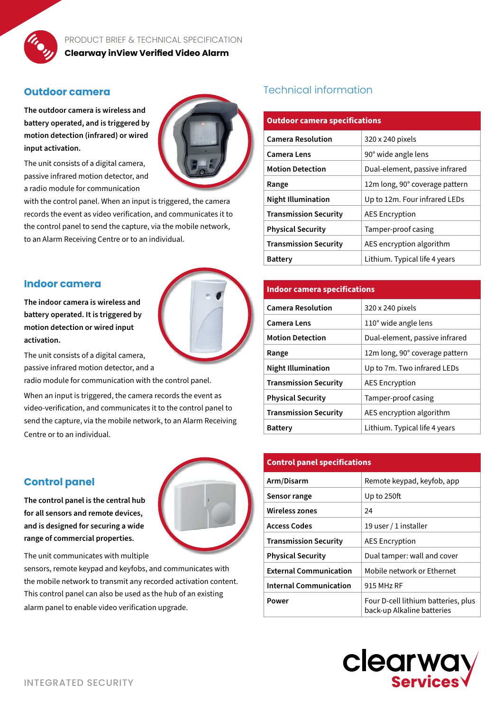

#### **Outdoor camera**

**The outdoor camera is wireless and battery operated, and is triggered by motion detection (infrared) or wired input activation.**



The unit consists of a digital camera, passive infrared motion detector, and a radio module for communication

with the control panel. When an input is triggered, the camera records the event as video verification, and communicates it to the control panel to send the capture, via the mobile network, to an Alarm Receiving Centre or to an individual.

#### **Indoor camera**

**The indoor camera is wireless and battery operated. It is triggered by motion detection or wired input activation.**



The unit consists of a digital camera, passive infrared motion detector, and a

radio module for communication with the control panel.

When an input is triggered, the camera records the event as video-verification, and communicates it to the control panel to send the capture, via the mobile network, to an Alarm Receiving Centre or to an individual.

#### **Control panel**

**The control panel is the central hub for all sensors and remote devices, and is designed for securing a wide range of commercial properties.**

The unit communicates with multiple

sensors, remote keypad and keyfobs, and communicates with the mobile network to transmit any recorded activation content. This control panel can also be used as the hub of an existing alarm panel to enable video verification upgrade.

## Technical information

| <b>Outdoor camera specifications</b> |                                |
|--------------------------------------|--------------------------------|
| <b>Camera Resolution</b>             | 320 x 240 pixels               |
| <b>Camera Lens</b>                   | 90° wide angle lens            |
| <b>Motion Detection</b>              | Dual-element, passive infrared |
| Range                                | 12m long, 90° coverage pattern |
| <b>Night Illumination</b>            | Up to 12m. Four infrared LEDs  |
| <b>Transmission Security</b>         | <b>AES Encryption</b>          |
| <b>Physical Security</b>             | Tamper-proof casing            |
| <b>Transmission Security</b>         | AES encryption algorithm       |
| <b>Battery</b>                       | Lithium. Typical life 4 years  |

#### **Indoor camera specifications**

| <b>Camera Resolution</b>     | 320 x 240 pixels               |
|------------------------------|--------------------------------|
| Camera Lens                  | 110° wide angle lens           |
| <b>Motion Detection</b>      | Dual-element, passive infrared |
| Range                        | 12m long, 90° coverage pattern |
| <b>Night Illumination</b>    | Up to 7m. Two infrared LEDs    |
| <b>Transmission Security</b> | <b>AES Encryption</b>          |
| <b>Physical Security</b>     | Tamper-proof casing            |
| <b>Transmission Security</b> | AES encryption algorithm       |
| <b>Battery</b>               | Lithium. Typical life 4 years  |
|                              |                                |

| <b>Control panel specifications</b> |                                                                   |
|-------------------------------------|-------------------------------------------------------------------|
| Arm/Disarm                          | Remote keypad, keyfob, app                                        |
| Sensor range                        | Up to $250$ ft                                                    |
| <b>Wireless zones</b>               | 24                                                                |
| <b>Access Codes</b>                 | 19 user / 1 installer                                             |
| <b>Transmission Security</b>        | <b>AES Encryption</b>                                             |
| <b>Physical Security</b>            | Dual tamper: wall and cover                                       |
| <b>External Communication</b>       | Mobile network or Ethernet                                        |
| <b>Internal Communication</b>       | 915 MHz RF                                                        |
| Power                               | Four D-cell lithium batteries, plus<br>back-up Alkaline batteries |